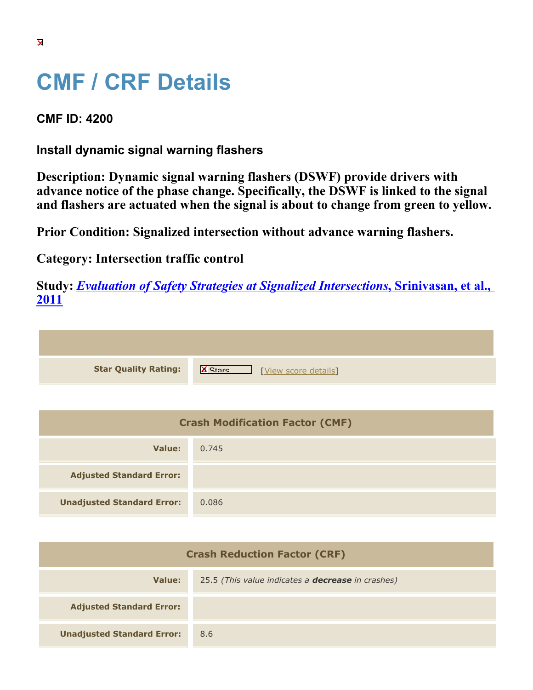## **CMF / CRF Details**

**CMF ID: 4200**

**Install dynamic signal warning flashers**

**Description: Dynamic signal warning flashers (DSWF) provide drivers with advance notice of the phase change. Specifically, the DSWF is linked to the signal and flashers are actuated when the signal is about to change from green to yellow.**

**Prior Condition: Signalized intersection without advance warning flashers.**

**Category: Intersection traffic control**

**Study:** *[Evaluation of Safety Strategies at Signalized Intersections](https://cmfclearinghouse.org/study_detail.cfm?stid=290)***[, Srinivasan, et al.,](https://cmfclearinghouse.org/study_detail.cfm?stid=290) [2011](https://cmfclearinghouse.org/study_detail.cfm?stid=290)**

| <b>Star Quality Rating:</b> | $\mathsf{K}$<br>[View score details] |
|-----------------------------|--------------------------------------|

| <b>Crash Modification Factor (CMF)</b> |       |
|----------------------------------------|-------|
| Value:                                 | 0.745 |
| <b>Adjusted Standard Error:</b>        |       |
| <b>Unadjusted Standard Error:</b>      | 0.086 |

| <b>Crash Reduction Factor (CRF)</b> |                                                          |
|-------------------------------------|----------------------------------------------------------|
| Value:                              | 25.5 (This value indicates a <b>decrease</b> in crashes) |
| <b>Adjusted Standard Error:</b>     |                                                          |
| <b>Unadjusted Standard Error:</b>   | 8.6                                                      |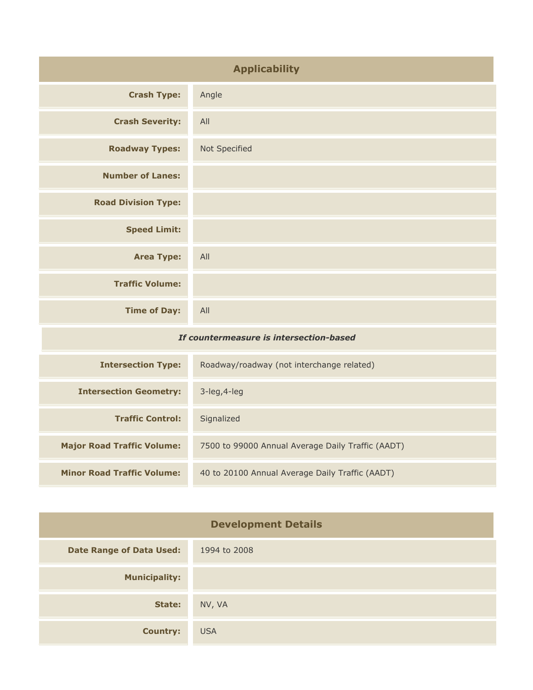| <b>Applicability</b>                    |                                           |
|-----------------------------------------|-------------------------------------------|
| <b>Crash Type:</b>                      | Angle                                     |
| <b>Crash Severity:</b>                  | All                                       |
| <b>Roadway Types:</b>                   | Not Specified                             |
| <b>Number of Lanes:</b>                 |                                           |
| <b>Road Division Type:</b>              |                                           |
| <b>Speed Limit:</b>                     |                                           |
| <b>Area Type:</b>                       | All                                       |
| <b>Traffic Volume:</b>                  |                                           |
| <b>Time of Day:</b>                     | All                                       |
| If countermeasure is intersection-based |                                           |
| <b>Intersection Type:</b>               | Roadway/roadway (not interchange related) |

| <b>Intersection Type:</b>         | Roadway/roadway (not interchange related)         |
|-----------------------------------|---------------------------------------------------|
| <b>Intersection Geometry:</b>     | $3$ -leg, $4$ -leg                                |
| <b>Traffic Control:</b>           | Signalized                                        |
| <b>Major Road Traffic Volume:</b> | 7500 to 99000 Annual Average Daily Traffic (AADT) |
| <b>Minor Road Traffic Volume:</b> | 40 to 20100 Annual Average Daily Traffic (AADT)   |

| <b>Development Details</b>      |              |
|---------------------------------|--------------|
| <b>Date Range of Data Used:</b> | 1994 to 2008 |
| <b>Municipality:</b>            |              |
| State:                          | NV, VA       |
| <b>Country:</b>                 | <b>USA</b>   |